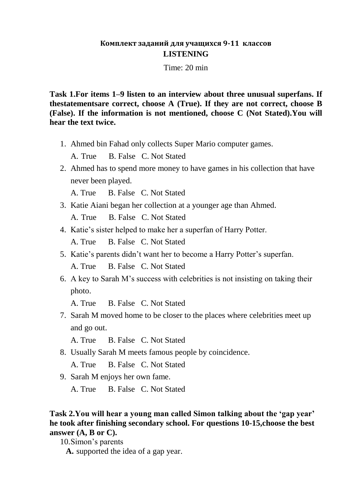### **Комплект заданий для учащихся 9-11 классов LISTENING**

Time: 20 min

**Task 1.For items 1–9 listen to an interview about three unusual superfans. If thestatementsare correct, choose A (True). If they are not correct, choose B (False). If the information is not mentioned, choose C (Not Stated).You will hear the text twice.**

1. Ahmed bin Fahad only collects Super Mario computer games.

A. True B. False C. Not Stated

2. Ahmed has to spend more money to have games in his collection that have never been played.

A. True B. False C. Not Stated

3. Katie Aiani began her collection at a younger age than Ahmed.

A. True B. False C. Not Stated

4. Katie's sister helped to make her a superfan of Harry Potter.

A. True B. False C. Not Stated

- 5. Katie's parents didn't want her to become a Harry Potter's superfan. A. True B. False C. Not Stated
- 6. A key to Sarah M's success with celebrities is not insisting on taking their photo.

A. True B. False C. Not Stated

7. Sarah M moved home to be closer to the places where celebrities meet up and go out.

A. True B. False C. Not Stated

8. Usually Sarah M meets famous people by coincidence.

A. True B. False C. Not Stated

9. Sarah M enjoys her own fame.

A. True B. False C. Not Stated

**Task 2.You will hear a young man called Simon talking about the 'gap year' he took after finishing secondary school. For questions 10-15,choose the best answer (A, B or C).**

10.Simon's parents

**A.** supported the idea of a gap year.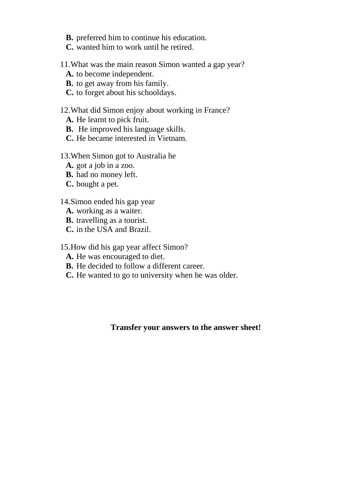**B.** preferred him to continue his education.

**C.** wanted him to work until he retired.

### 11.What was the main reason Simon wanted a gap year?

- **A.** to become independent.
- **B.** to get away from his family.
- **C.** to forget about his schooldays.

### 12.What did Simon enjoy about working in France?

- **A.** He learnt to pick fruit.
- **B.** He improved his language skills.
- **C.** He became interested in Vietnam.

#### 13.When Simon got to Australia he

- **A.** got a job in a zoo.
- **B.** had no money left.
- **C.** bought a pet.

#### 14.Simon ended his gap year

- **A.** working as a waiter.
- **B.** travelling as a tourist.
- **C.** in the USA and Brazil.

15.How did his gap year affect Simon?

- **A.** He was encouraged to diet.
- **B.** He decided to follow a different career.
- **C.** He wanted to go to university when he was older.

### **Transfer your answers to the answer sheet!**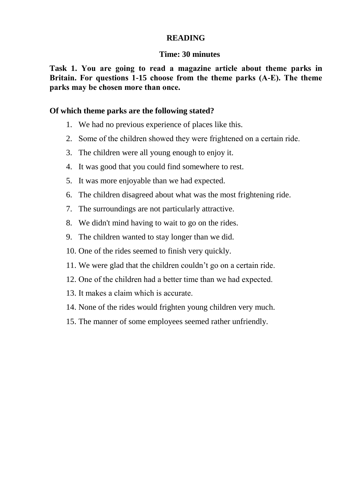### **READING**

### **Time: 30 minutes**

**Task 1. You are going to read а magazine article about theme parks in Britain. Fоr questions 1-15 choose from the theme parks (А-Е). The theme parks may be chosen more than оnсе.** 

### **Of which theme parks are the following stated?**

- 1. We had no previous experience of places like this.
- 2. Some of the children showed they were frightened on а certain ride.
- 3. The children were all young enough to enjoy it.
- 4. It was good that you could find somewhere to rest.
- 5. It was more enjoyable than we had expected.
- 6. The children disagreed about what was the most frightening ride.
- 7. The surroundings are not particularly attractive.
- 8. We didn't mind having to wait to go on the rides.
- 9. The children wanted to stay longer than we did.
- 10. One of the rides seemed to finish very quickly.
- 11. We were glad that the children couldn't go on а certain ride.
- 12. One of the children had а better time than we had expected.
- 13. It makes а claim which is accurate.
- 14. None of the rides would frighten young children very much.
- 15. The manner of some employees seemed rather unfriendly.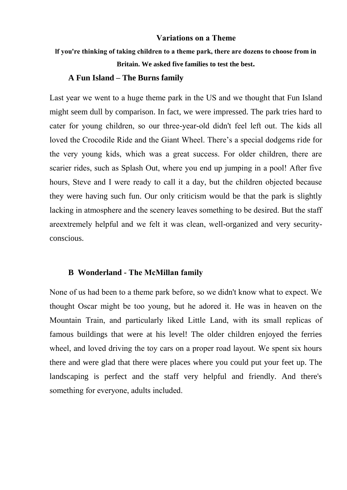#### **Variations on а Theme**

# **lf you're thinking of taking children to а theme park, there are dozens to choose from in Britain. We asked five families to test the best.**

#### **A Fun Island – The Burns family**

Last year we went to а huge theme park in the US and we thought that Fun Island might seem dull by comparison. In fact, we were impressed. The park tries hard to cater for young children, so our thrее-уеаr-оld didn't feel left out. The kids all loved the Crocodile Ride and the Giant Wheel. There's а special dodgems ride for the very young kids, which was а great success. For older children, there are sсаriеr rides, such as Splash Out, where you end up jumping in а pool! After five hours, Steve and I were ready to call it a day, but the children objected because they were having such fun. Our only criticism would be that the park is slightly lacking in atmosphere and the sсеnеrу leaves something to be desired. But the staff areехtrеmеlу helpful and we felt it was clean, well-organized and very securityconscious.

#### **B Wonderland - The McМillan family**

None of us had been to а theme park before, so we didn't know what to expect. We thought Оsсаr might be too young, but he adored it. He was in heaven on the Mountain Тrаin, and раrtiсulаrlу liked Little Land, with its small rерliсаs of famous buildings that were at his level! The older children enjoyed the ferries wheel, and loved driving the toy cars on a proper road layout. We spent six hours there and were glad that there were places where you could put your feet up. The landscaping is perfect and the staff very helpful and friendly. And there's something for еvеrуоnе, adults included.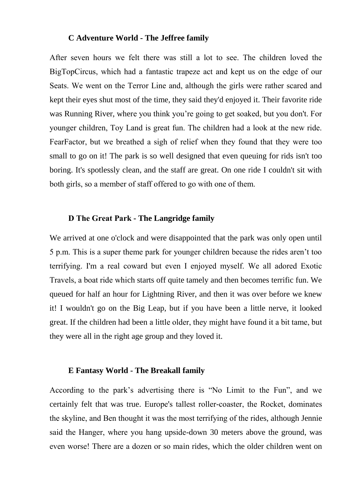#### **C Adventure World - The Jeffree family**

After seven hours we felt there was still а lot to see. The children loved the BigТорСirсus, which had а fantastic trapeze act and kept us on the edge of our Seats. We went on the Теrrоr Line and, although the girls were rather scared and kept their eyes shut most of the time, they said they'd enjoyed it. Their favorite ride was Running River, where you think you're going to get soaked, but you don't. For уоunger children, Тоу Land is great fun. The children had а look at the new ride. FеаrFасtоr, but we breathed а sigh of relief when they found that they were too small to go on it! The park is so well designed that even queuing for rids isn't too boring. It's spotlessly clean, and the staff are great. On one ride I couldn't sit with both girls, so а member of staff оffеrеd to go with one of them.

#### **D Тhе Great Park - The Langridge family**

We arrived at one o'clock and were disappointed that the park was only open until 5 р.m. This is а super theme park for younger children because the rides аrеn't too terrifying. I'm а rеаl coward but even I enjoyed myself. We all adored Exotic Travels, а boat ride which starts off quite tamely and then becomes terrific fun. We queued for half an hour for Lightning River, and then it was over before we knew it! I wouldn't go on the Big Leap, but if you have been a little nerve, it looked great. If the children had been а little older, they might have found it а bit tame, but they were all in the right age group and they loved it.

#### **E Fantasy World - The Breakall family**

According to the park's advertising there is "No Limit to the Fun", and we certainly felt that was true. Europe's tallest rоllеr-соаstеr, the Rocket, dominates the skyline, and Веn thought it was the most terrifying of the rides, although Jennie said the Наngеr, where you hang upside-down 30 meters above the ground, was even worse! There are а dozen or so main rides, which the older children went on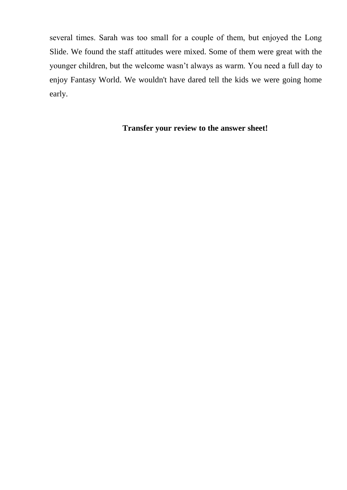several times. Sаrаh was too small for а couple of them, but enjoyed the Long Slide. We found the staff attitudes were mixed. Some of them were great with the younger children, but the welcome wasn't always as warm. You need а full day to enjoy Fantasy World. We wouldn't have dared tell the kids we were going home early.

### **Transfer your review to the answer sheet!**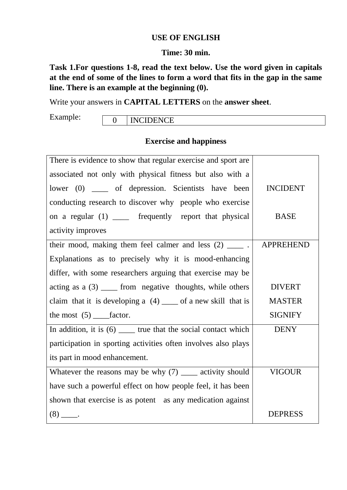### **USE OF ENGLISH**

#### **Time: 30 min.**

**Task 1.For questions 1-8, read the text below. Use the word given in capitals at the end of some of the lines to form a word that fits in the gap in the same line. There is an example at the beginning (0).** 

Write your answers in **CAPITAL LETTERS** on the **answer sheet**.

Example:

0 **INCIDENCE** 

### **Exercise and happiness**

| There is evidence to show that regular exercise and sport are      |                  |
|--------------------------------------------------------------------|------------------|
| associated not only with physical fitness but also with a          |                  |
| lower (0) _____ of depression. Scientists have been                | <b>INCIDENT</b>  |
| conducting research to discover why people who exercise            |                  |
| on a regular (1) _____ frequently report that physical             | <b>BASE</b>      |
| activity improves                                                  |                  |
| their mood, making them feel calmer and less $(2)$ _____.          | <b>APPREHEND</b> |
| Explanations as to precisely why it is mood-enhancing              |                  |
| differ, with some researchers arguing that exercise may be         |                  |
| acting as $a(3)$ ______ from negative thoughts, while others       | <b>DIVERT</b>    |
| claim that it is developing a $(4)$ ____ of a new skill that is    | <b>MASTER</b>    |
| the most $(5)$ _______ factor.                                     | <b>SIGNIFY</b>   |
| In addition, it is $(6)$ ______ true that the social contact which | <b>DENY</b>      |
| participation in sporting activities often involves also plays     |                  |
| its part in mood enhancement.                                      |                  |
| Whatever the reasons may be why $(7)$ _____ activity should        | <b>VIGOUR</b>    |
| have such a powerful effect on how people feel, it has been        |                  |
| shown that exercise is as potent as any medication against         |                  |
| $(8)$ _____.                                                       | <b>DEPRESS</b>   |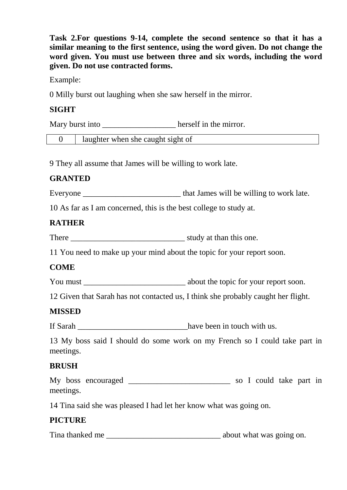**Task 2.For questions 9-14, complete the second sentence so that it has a similar meaning to the first sentence, using the word given. Do not change the word given. You must use between three and six words, including the word given. Do not use contracted forms.** 

Example:

0 Milly burst out laughing when she saw herself in the mirror.

### **SIGHT**

Mary burst into \_\_\_\_\_\_\_\_\_\_\_\_\_\_\_\_\_\_\_\_\_\_\_ herself in the mirror.

0 laughter when she caught sight of

9 They all assume that James will be willing to work late.

### **GRANTED**

Everyone \_\_\_\_\_\_\_\_\_\_\_\_\_\_\_\_\_\_\_\_\_\_\_\_ that James will be willing to work late.

10 As far as I am concerned, this is the best college to study at.

### **RATHER**

There study at than this one.

11 You need to make up your mind about the topic for your report soon.

### **COME**

You must \_\_\_\_\_\_\_\_\_\_\_\_\_\_\_\_\_\_\_\_\_\_\_\_\_ about the topic for your report soon.

12 Given that Sarah has not contacted us, I think she probably caught her flight.

### **MISSED**

If Sarah \_\_\_\_\_\_\_\_\_\_\_\_\_\_\_\_\_\_\_\_\_\_\_\_\_\_\_\_\_\_\_\_\_have been in touch with us.

13 My boss said I should do some work on my French so I could take part in meetings.

### **BRUSH**

|           | My boss encouraged |  | so I could take part in |  |  |
|-----------|--------------------|--|-------------------------|--|--|
| meetings. |                    |  |                         |  |  |

14 Tina said she was pleased I had let her know what was going on.

### **PICTURE**

Tina thanked me \_\_\_\_\_\_\_\_\_\_\_\_\_\_\_\_\_\_\_\_\_\_\_\_\_\_\_\_ about what was going on.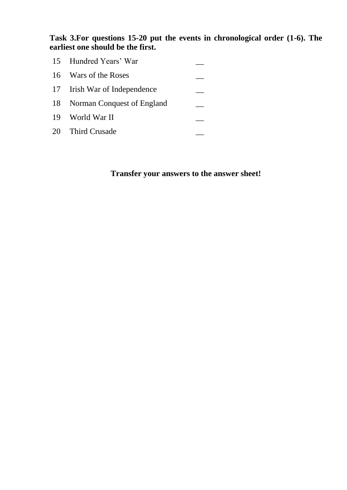**Task 3.For questions 15-20 put the events in chronological order (1-6). The earliest one should be the first.**

| 15 Hundred Years' War         |  |
|-------------------------------|--|
| 16 Wars of the Roses          |  |
| 17 Irish War of Independence  |  |
| 18 Norman Conquest of England |  |
| 19 World War II               |  |
| 20 Third Crusade              |  |

# **Transfer your answers to the answer sheet!**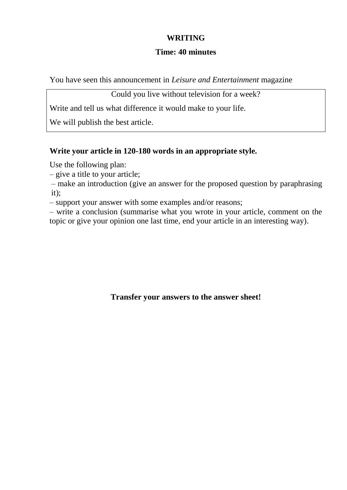### **WRITING**

### **Time: 40 minutes**

You have seen this announcement in *Leisure and Entertainment* magazine

Could you live without television for a week?

Write and tell us what difference it would make to your life.

We will publish the best article.

### **Write your article in 120-180 words in an appropriate style.**

Use the following plan:

– give a title to your article;

– make an introduction (give an answer for the proposed question by paraphrasing it);

– support your answer with some examples and/or reasons;

– write a conclusion (summarise what you wrote in your article, comment on the topic or give your opinion one last time, end your article in an interesting way).

**Transfer your answers to the answer sheet!**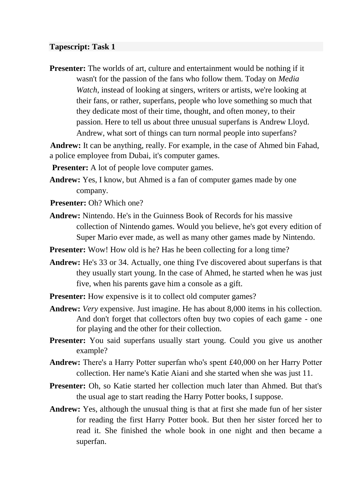#### **Tapescript: Task 1**

**Presenter:** The worlds of art, culture and entertainment would be nothing if it wasn't for the passion of the fans who follow them. Today on *Media Watch*, instead of looking at singers, writers or artists, we're looking at their fans, or rather, superfans, people who love something so much that they dedicate most of their time, thought, and often money, to their passion. Here to tell us about three unusual superfans is Andrew Lloyd. Andrew, what sort of things can turn normal people into superfans?

**Andrew:** It can be anything, really. For example, in the case of Ahmed bin Fahad, a police employee from Dubai, it's computer games.

**Presenter:** A lot of people love computer games.

- **Andrew:** Yes, I know, but Ahmed is a fan of computer games made by one company.
- **Presenter:** Oh? Which one?
- **Andrew:** Nintendo. He's in the Guinness Book of Records for his massive collection of Nintendo games. Would you believe, he's got every edition of Super Mario ever made, as well as many other games made by Nintendo.
- **Presenter:** Wow! How old is he? Has he been collecting for a long time?
- **Andrew:** He's 33 or 34. Actually, one thing I've discovered about superfans is that they usually start young. In the case of Ahmed, he started when he was just five, when his parents gave him a console as a gift.
- **Presenter:** How expensive is it to collect old computer games?
- **Andrew:** *Very* expensive. Just imagine. He has about 8,000 items in his collection. And don't forget that collectors often buy two copies of each game - one for playing and the other for their collection.
- **Presenter:** You said superfans usually start young. Could you give us another example?
- **Andrew:** There's a Harry Potter superfan who's spent £40,000 on her Harry Potter collection. Her name's Katie Aiani and she started when she was just 11.
- **Presenter:** Oh, so Katie started her collection much later than Ahmed. But that's the usual age to start reading the Harry Potter books, I suppose.
- **Andrew:** Yes, although the unusual thing is that at first she made fun of her sister for reading the first Harry Potter book. But then her sister forced her to read it. She finished the whole book in one night and then became a superfan.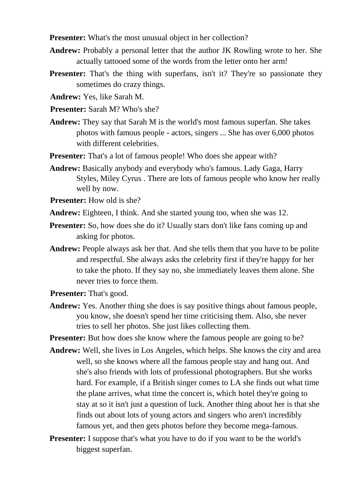**Presenter:** What's the most unusual object in her collection?

- **Andrew:** Probably a personal letter that the author JK Rowling wrote to her. She actually tattooed some of the words from the letter onto her arm!
- **Presenter:** That's the thing with superfans, isn't it? They're so passionate they sometimes do crazy things.
- **Andrew:** Yes, like Sarah M.
- **Presenter:** Sarah M? Who's she?
- **Andrew:** They say that Sarah M is the world's most famous superfan. She takes photos with famous people - actors, singers ... She has over 6,000 photos with different celebrities.
- **Presenter:** That's a lot of famous people! Who does she appear with?
- **Andrew:** Basically anybody and everybody who's famous. Lady Gaga, Harry Styles, Miley Cyrus . There are lots of famous people who know her really well by now.
- **Presenter:** How old is she?
- **Andrew:** Eighteen, I think. And she started young too, when she was 12.
- **Presenter:** So, how does she do it? Usually stars don't like fans coming up and asking for photos.
- **Andrew:** People always ask her that. And she tells them that you have to be polite and respectful. She always asks the celebrity first if they're happy for her to take the photo. If they say no, she immediately leaves them alone. She never tries to force them.
- **Presenter:** That's good.
- **Andrew:** Yes. Another thing she does is say positive things about famous people, you know, she doesn't spend her time criticising them. Also, she never tries to sell her photos. She just likes collecting them.
- **Presenter:** But how does she know where the famous people are going to be?
- **Andrew:** Well, she lives in Los Angeles, which helps. She knows the city and area well, so she knows where all the famous people stay and hang out. And she's also friends with lots of professional photographers. But she works hard. For example, if a British singer comes to LA she finds out what time the plane arrives, what time the concert is, which hotel they're going to stay at so it isn't just a question of luck. Another thing about her is that she finds out about lots of young actors and singers who aren't incredibly famous yet, and then gets photos before they become mega-famous.
- **Presenter:** I suppose that's what you have to do if you want to be the world's biggest superfan.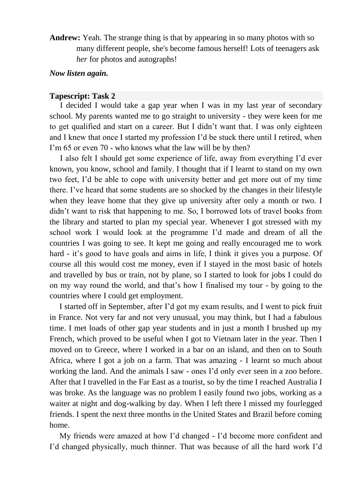**Andrew:** Yeah. The strange thing is that by appearing in so many photos with so many different people, she's become famous herself! Lots of teenagers ask *her* for photos and autographs!

### *Now listen again.*

#### **Tapescript: Task 2**

I decided I would take a gap year when I was in my last year of secondary school. My parents wanted me to go straight to university - they were keen for me to get qualified and start on a career. But I didn't want that. I was only eighteen and I knew that once I started my profession I'd be stuck there until I retired, when I'm 65 or even 70 - who knows what the law will be by then?

I also felt I should get some experience of life, away from everything I'd ever known, you know, school and family. I thought that if I learnt to stand on my own two feet, I'd be able to cope with university better and get more out of my time there. I've heard that some students are so shocked by the changes in their lifestyle when they leave home that they give up university after only a month or two. I didn't want to risk that happening to me. So, I borrowed lots of travel books from the library and started to plan my special year. Whenever I got stressed with my school work I would look at the programme I'd made and dream of all the countries I was going to see. It kept me going and really encouraged me to work hard - it's good to have goals and aims in life, I think it gives you a purpose. Of course all this would cost me money, even if I stayed in the most basic of hotels and travelled by bus or train, not by plane, so I started to look for jobs I could do on my way round the world, and that's how I finalised my tour - by going to the countries where I could get employment.

I started off in September, after I'd got my exam results, and I went to pick fruit in France. Not very far and not very unusual, you may think, but I had a fabulous time. I met loads of other gap year students and in just a month I brushed up my French, which proved to be useful when I got to Vietnam later in the year. Then I moved on to Greece, where I worked in a bar on an island, and then on to South Africa, where I got a job on a farm. That was amazing - I learnt so much about working the land. And the animals I saw - ones I'd only ever seen in a zoo before. After that I travelled in the Far East as a tourist, so by the time I reached Australia I was broke. As the language was no problem I easily found two jobs, working as a waiter at night and dog-walking by day. When I left there I missed my fourlegged friends. I spent the next three months in the United States and Brazil before coming home.

My friends were amazed at how I'd changed - I'd become more confident and I'd changed physically, much thinner. That was because of all the hard work I'd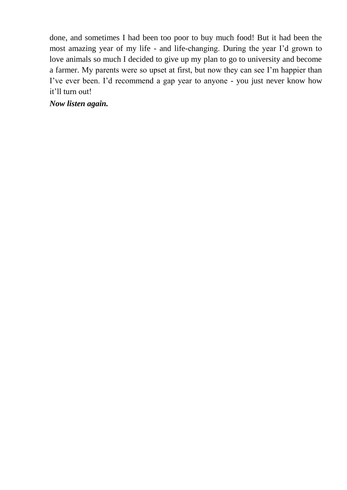done, and sometimes I had been too poor to buy much food! But it had been the most amazing year of my life - and life-changing. During the year I'd grown to love animals so much I decided to give up my plan to go to university and become a farmer. My parents were so upset at first, but now they can see I'm happier than I've ever been. I'd recommend a gap year to anyone - you just never know how it'll turn out!

*Now listen again.*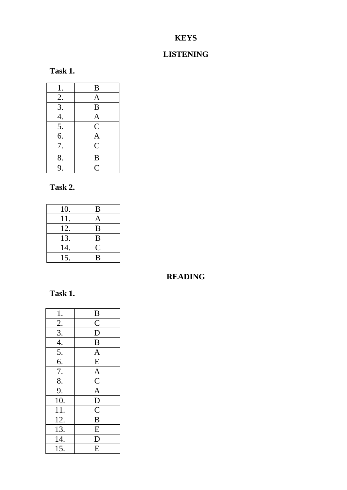# **KEYS**

## **LISTENING**

| ası<br>m |  |
|----------|--|
|----------|--|

| 1.               | B              |
|------------------|----------------|
| 2.               | $\overline{A}$ |
| $\overline{3}$ . | $\overline{B}$ |
| 4.               | $\mathbf{A}$   |
| 5.               | $\overline{C}$ |
| 6.               | $\mathbf{A}$   |
| 7.               | $\overline{C}$ |
| 8.               | B              |
| 9.               | $\overline{C}$ |

### **Task 2.**

| 10. | B                  |
|-----|--------------------|
| 11. | Α                  |
| 12. | B                  |
| 13. | B                  |
| 14. | $\overline{\rm C}$ |
| 15. | B                  |

### **READING**

# **Task 1.**

| 1.                | $\overline{B}$          |
|-------------------|-------------------------|
| 2.                | $\overline{C}$          |
|                   | $\overline{\mathsf{D}}$ |
| $\frac{3}{4}$     | $\overline{B}$          |
| $\overline{5}$ .  | $\mathbf{A}$            |
| 6.                | ${\bf E}$               |
| 7.                | $\overline{A}$          |
| 8.                | $\overline{C}$          |
| 9.                | $\overline{A}$          |
| 10.               | $\overline{D}$          |
| 11.               | $\overline{\mathsf{C}}$ |
| 12.               | $\bf{B}$                |
| 13.               | E                       |
| 14.               | D                       |
| $\overline{15}$ . | E                       |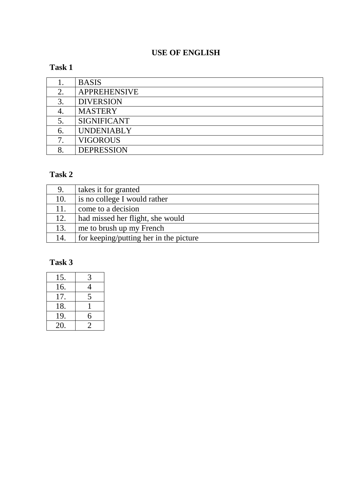## **USE OF ENGLISH**

## **Task 1**

|    | <b>BASIS</b>        |
|----|---------------------|
|    | <b>APPREHENSIVE</b> |
|    | <b>DIVERSION</b>    |
|    | <b>MASTERY</b>      |
|    | <b>SIGNIFICANT</b>  |
| 6. | <b>UNDENIABLY</b>   |
|    | <b>VIGOROUS</b>     |
|    | <b>DEPRESSION</b>   |

### **Task 2**

| 9.  | takes it for granted                   |
|-----|----------------------------------------|
| 10. | is no college I would rather           |
| 11. | come to a decision                     |
| 12. | had missed her flight, she would       |
| 13. | me to brush up my French               |
| 14. | for keeping/putting her in the picture |

# **Task 3**

| 15. | 3 |
|-----|---|
| 16. | 4 |
| 17. | 5 |
| 18. |   |
| 19. | 6 |
| 20. | 2 |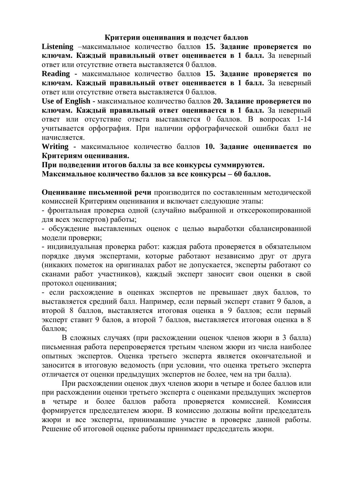#### **Критерии оценивания и подсчет баллов**

**Listening** –максимальное количество баллов **15. Задание проверяется по ключам. Каждый правильный ответ оценивается в 1 балл.** За неверный ответ или отсутствие ответа выставляется 0 баллов.

**Reading -** максимальное количество баллов **15. Задание проверяется по ключам. Каждый правильный ответ оценивается в 1 балл.** За неверный ответ или отсутствие ответа выставляется 0 баллов.

**Use of English -** максимальное количество баллов **20. Задание проверяется по ключам. Каждый правильный ответ оценивается в 1 балл.** За неверный ответ или отсутствие ответа выставляется 0 баллов. В вопросах 1-14 учитывается орфография. При наличии орфографической ошибки балл не начисляется.

**Writing -** максимальное количество баллов **10. Задание оценивается по Критериям оценивания.** 

**При подведении итогов баллы за все конкурсы суммируются.** 

**Максимальное количество баллов за все конкурсы – 60 баллов.**

**Оценивание письменной речи** производится по составленным методической комиссией Критериям оценивания и включает следующие этапы:

- фронтальная проверка одной (случайно выбранной и отксерокопированной для всех экспертов) работы;

- обсуждение выставленных оценок с целью выработки сбалансированной модели проверки;

- индивидуальная проверка работ: каждая работа проверяется в обязательном порядке двумя экспертами, которые работают независимо друг от друга (никаких пометок на оригиналах работ не допускается, эксперты работают со сканами работ участников), каждый эксперт заносит свои оценки в свой протокол оценивания;

- если расхождение в оценках экспертов не превышает двух баллов, то выставляется средний балл. Например, если первый эксперт ставит 9 балов, а второй 8 баллов, выставляется итоговая оценка в 9 баллов; если первый эксперт ставит 9 балов, а второй 7 баллов, выставляется итоговая оценка в 8 баллов;

В сложных случаях (при расхождении оценок членов жюри в 3 балла) письменная работа перепроверяется третьим членом жюри из числа наиболее опытных экспертов. Оценка третьего эксперта является окончательной и заносится в итоговую ведомость (при условии, что оценка третьего эксперта отличается от оценки предыдущих экспертов не более, чем на три балла).

При расхождении оценок двух членов жюри в четыре и более баллов или при расхождении оценки третьего эксперта с оценками предыдущих экспертов в четыре и более баллов работа проверяется комиссией. Комиссия формируется председателем жюри. В комиссию должны войти председатель жюри и все эксперты, принимавшие участие в проверке данной работы. Решение об итоговой оценке работы принимает председатель жюри.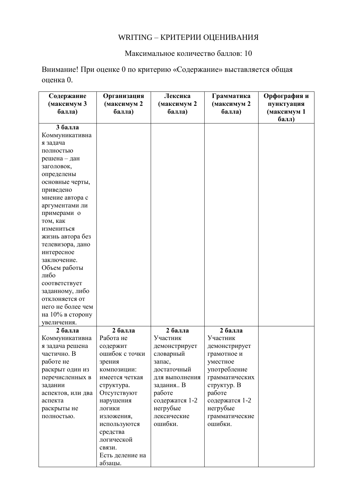## WRITING – КРИТЕРИИ ОЦЕНИВАНИЯ

Максимальное количество баллов: 10

Внимание! При оценке 0 по критерию «Содержание» выставляется общая оценка 0.

| Содержание        | Организация     | Лексика        | Грамматика     | Орфография и |
|-------------------|-----------------|----------------|----------------|--------------|
| (максимум 3       | (максимум 2     | (максимум 2    | (максимум 2    | пунктуация   |
| балла)            | балла)          | балла)         | балла)         | (максимум 1  |
|                   |                 |                |                | балл)        |
| 3 балла           |                 |                |                |              |
| Коммуникативна    |                 |                |                |              |
| я задача          |                 |                |                |              |
| полностью         |                 |                |                |              |
| решена – дан      |                 |                |                |              |
| заголовок,        |                 |                |                |              |
| определены        |                 |                |                |              |
| основные черты,   |                 |                |                |              |
| приведено         |                 |                |                |              |
| мнение автора с   |                 |                |                |              |
| аргументами ли    |                 |                |                |              |
| примерами о       |                 |                |                |              |
| том, как          |                 |                |                |              |
| измениться        |                 |                |                |              |
| жизнь автора без  |                 |                |                |              |
| телевизора, дано  |                 |                |                |              |
| интересное        |                 |                |                |              |
| заключение.       |                 |                |                |              |
| Объем работы      |                 |                |                |              |
| либо              |                 |                |                |              |
| соответствует     |                 |                |                |              |
| заданному, либо   |                 |                |                |              |
| отклоняется от    |                 |                |                |              |
| него не более чем |                 |                |                |              |
| на 10% в сторону  |                 |                |                |              |
| увеличения.       |                 |                |                |              |
| 2 балла           | 2 балла         | 2 балла        | 2 балла        |              |
| Коммуникативна    | Работа не       | Участник       | Участник       |              |
| я задача решена   | содержит        | демонстрирует  | демонстрирует  |              |
| частично. В       | ошибок с точки  | словарный      | грамотное и    |              |
| работе не         | зрения          | запас,         | уместное       |              |
| раскрыт один из   | КОМПОЗИЦИИ:     | достаточный    | употребление   |              |
| перечисленных в   | имеется четкая  | для выполнения | грамматических |              |
| задании           | структура.      | задания В      | структур. В    |              |
| аспектов, или два | Отсутствуют     | работе         | работе         |              |
| аспекта           | нарушения       | содержатся 1-2 | содержатся 1-2 |              |
| раскрыты не       | ЛОГИКИ          | негрубые       | негрубые       |              |
| полностью.        | изложения,      | лексические    | грамматические |              |
|                   | используются    | ошибки.        | ошибки.        |              |
|                   | средства        |                |                |              |
|                   | логической      |                |                |              |
|                   | связи.          |                |                |              |
|                   | Есть деление на |                |                |              |
|                   | абзацы.         |                |                |              |